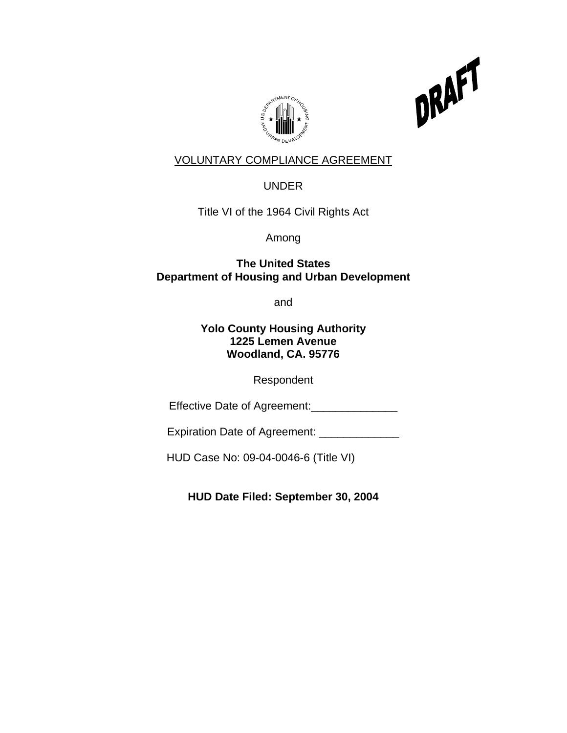



# VOLUNTARY COMPLIANCE AGREEMENT

UNDER

Title VI of the 1964 Civil Rights Act

Among

 **The United States Department of Housing and Urban Development** 

and the contract of the contract of the contract of the contract of the contract of the contract of the contract of the contract of the contract of the contract of the contract of the contract of the contract of the contra

**Yolo County Housing Authority 1225 Lemen Avenue Woodland, CA. 95776** 

Respondent

Effective Date of Agreement:\_\_\_\_\_\_\_\_\_\_\_\_\_\_\_\_

Expiration Date of Agreement: \_\_\_\_\_\_\_\_\_\_\_\_\_

HUD Case No: 09-04-0046-6 (Title VI)

**HUD Date Filed: September 30, 2004**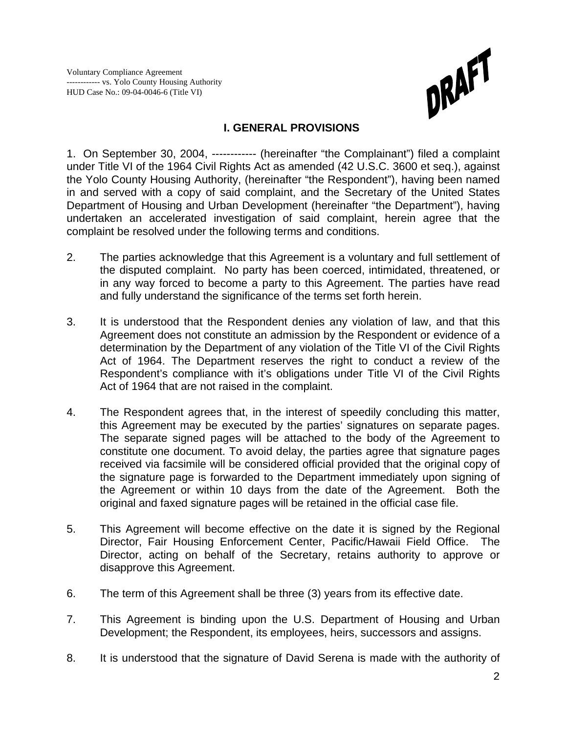

## **I. GENERAL PROVISIONS**

1. On September 30, 2004, ------------ (hereinafter "the Complainant") filed a complaint under Title VI of the 1964 Civil Rights Act as amended (42 U.S.C. 3600 et seq.), against the Yolo County Housing Authority, (hereinafter "the Respondent"), having been named in and served with a copy of said complaint, and the Secretary of the United States Department of Housing and Urban Development (hereinafter "the Department"), having undertaken an accelerated investigation of said complaint, herein agree that the complaint be resolved under the following terms and conditions.

- 2. The parties acknowledge that this Agreement is a voluntary and full settlement of the disputed complaint. No party has been coerced, intimidated, threatened, or in any way forced to become a party to this Agreement. The parties have read and fully understand the significance of the terms set forth herein.
- 3. It is understood that the Respondent denies any violation of law, and that this Agreement does not constitute an admission by the Respondent or evidence of a determination by the Department of any violation of the Title VI of the Civil Rights Act of 1964. The Department reserves the right to conduct a review of the Respondent's compliance with it's obligations under Title VI of the Civil Rights Act of 1964 that are not raised in the complaint.
- 4. The Respondent agrees that, in the interest of speedily concluding this matter, this Agreement may be executed by the parties' signatures on separate pages. The separate signed pages will be attached to the body of the Agreement to constitute one document. To avoid delay, the parties agree that signature pages received via facsimile will be considered official provided that the original copy of the signature page is forwarded to the Department immediately upon signing of the Agreement or within 10 days from the date of the Agreement. Both the original and faxed signature pages will be retained in the official case file.
- 5. This Agreement will become effective on the date it is signed by the Regional Director, Fair Housing Enforcement Center, Pacific/Hawaii Field Office. The Director, acting on behalf of the Secretary, retains authority to approve or disapprove this Agreement.
- 6. The term of this Agreement shall be three (3) years from its effective date.
- 7. This Agreement is binding upon the U.S. Department of Housing and Urban Development; the Respondent, its employees, heirs, successors and assigns.
- 8. It is understood that the signature of David Serena is made with the authority of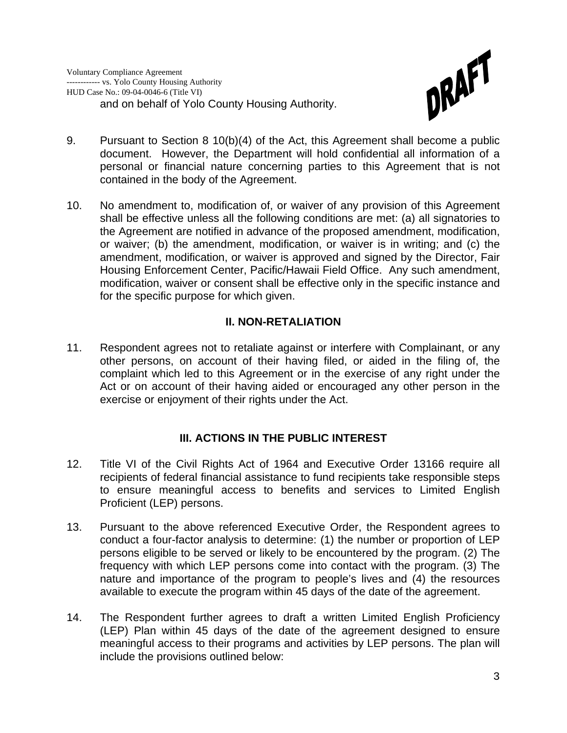

- 9. Pursuant to Section 8 10(b)(4) of the Act, this Agreement shall become a public document. However, the Department will hold confidential all information of a personal or financial nature concerning parties to this Agreement that is not contained in the body of the Agreement.
- 10. No amendment to, modification of, or waiver of any provision of this Agreement shall be effective unless all the following conditions are met: (a) all signatories to the Agreement are notified in advance of the proposed amendment, modification, or waiver; (b) the amendment, modification, or waiver is in writing; and (c) the amendment, modification, or waiver is approved and signed by the Director, Fair Housing Enforcement Center, Pacific/Hawaii Field Office. Any such amendment, modification, waiver or consent shall be effective only in the specific instance and for the specific purpose for which given.

## **II. NON-RETALIATION**

11. Respondent agrees not to retaliate against or interfere with Complainant, or any other persons, on account of their having filed, or aided in the filing of, the complaint which led to this Agreement or in the exercise of any right under the Act or on account of their having aided or encouraged any other person in the exercise or enjoyment of their rights under the Act.

## **III. ACTIONS IN THE PUBLIC INTEREST**

- 12. Title VI of the Civil Rights Act of 1964 and Executive Order 13166 require all recipients of federal financial assistance to fund recipients take responsible steps to ensure meaningful access to benefits and services to Limited English Proficient (LEP) persons.
- 13. Pursuant to the above referenced Executive Order, the Respondent agrees to conduct a four-factor analysis to determine: (1) the number or proportion of LEP persons eligible to be served or likely to be encountered by the program. (2) The frequency with which LEP persons come into contact with the program. (3) The nature and importance of the program to people's lives and (4) the resources available to execute the program within 45 days of the date of the agreement.
- 14. The Respondent further agrees to draft a written Limited English Proficiency (LEP) Plan within 45 days of the date of the agreement designed to ensure meaningful access to their programs and activities by LEP persons. The plan will include the provisions outlined below: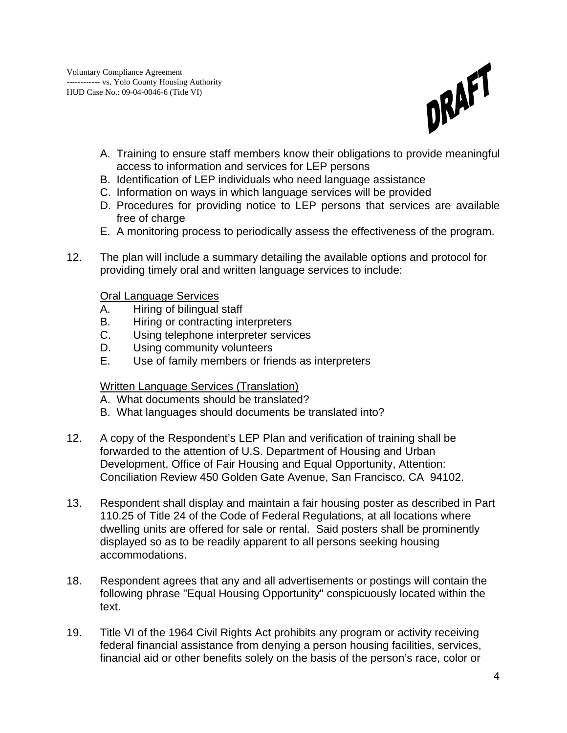

- A. Training to ensure staff members know their obligations to provide meaningful access to information and services for LEP persons
- B. Identification of LEP individuals who need language assistance
- C. Information on ways in which language services will be provided
- D. Procedures for providing notice to LEP persons that services are available free of charge
- E. A monitoring process to periodically assess the effectiveness of the program.
- 12. The plan will include a summary detailing the available options and protocol for providing timely oral and written language services to include:

Oral Language Services

- A. Hiring of bilingual staff
- B. Hiring or contracting interpreters
- C. Using telephone interpreter services
- D. Using community volunteers
- E. Use of family members or friends as interpreters

#### Written Language Services (Translation)

- A. What documents should be translated?
- B. What languages should documents be translated into?
- 12. A copy of the Respondent's LEP Plan and verification of training shall be forwarded to the attention of U.S. Department of Housing and Urban Development, Office of Fair Housing and Equal Opportunity, Attention: Conciliation Review 450 Golden Gate Avenue, San Francisco, CA 94102.
- 13. Respondent shall display and maintain a fair housing poster as described in Part 110.25 of Title 24 of the Code of Federal Regulations, at all locations where dwelling units are offered for sale or rental. Said posters shall be prominently displayed so as to be readily apparent to all persons seeking housing accommodations.
- 18. Respondent agrees that any and all advertisements or postings will contain the following phrase "Equal Housing Opportunity" conspicuously located within the text.
- 19. Title VI of the 1964 Civil Rights Act prohibits any program or activity receiving federal financial assistance from denying a person housing facilities, services, financial aid or other benefits solely on the basis of the person's race, color or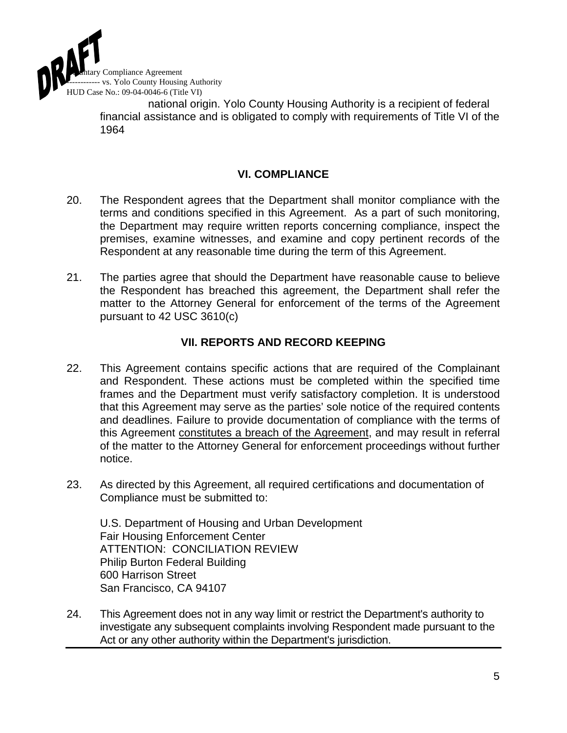

national origin. Yolo County Housing Authority is a recipient of federal financial assistance and is obligated to comply with requirements of Title VI of the 1964

## **VI. COMPLIANCE**

- 20. The Respondent agrees that the Department shall monitor compliance with the terms and conditions specified in this Agreement. As a part of such monitoring, the Department may require written reports concerning compliance, inspect the premises, examine witnesses, and examine and copy pertinent records of the Respondent at any reasonable time during the term of this Agreement.
- 21. The parties agree that should the Department have reasonable cause to believe the Respondent has breached this agreement, the Department shall refer the matter to the Attorney General for enforcement of the terms of the Agreement pursuant to 42 USC 3610(c)

## **VII. REPORTS AND RECORD KEEPING**

- 22. This Agreement contains specific actions that are required of the Complainant and Respondent. These actions must be completed within the specified time frames and the Department must verify satisfactory completion. It is understood that this Agreement may serve as the parties' sole notice of the required contents and deadlines. Failure to provide documentation of compliance with the terms of this Agreement constitutes a breach of the Agreement, and may result in referral of the matter to the Attorney General for enforcement proceedings without further notice.
- 23. As directed by this Agreement, all required certifications and documentation of Compliance must be submitted to:

 U.S. Department of Housing and Urban Development Fair Housing Enforcement Center ATTENTION: CONCILIATION REVIEW Philip Burton Federal Building 600 Harrison Street San Francisco, CA 94107

24. This Agreement does not in any way limit or restrict the Department's authority to investigate any subsequent complaints involving Respondent made pursuant to the Act or any other authority within the Department's jurisdiction.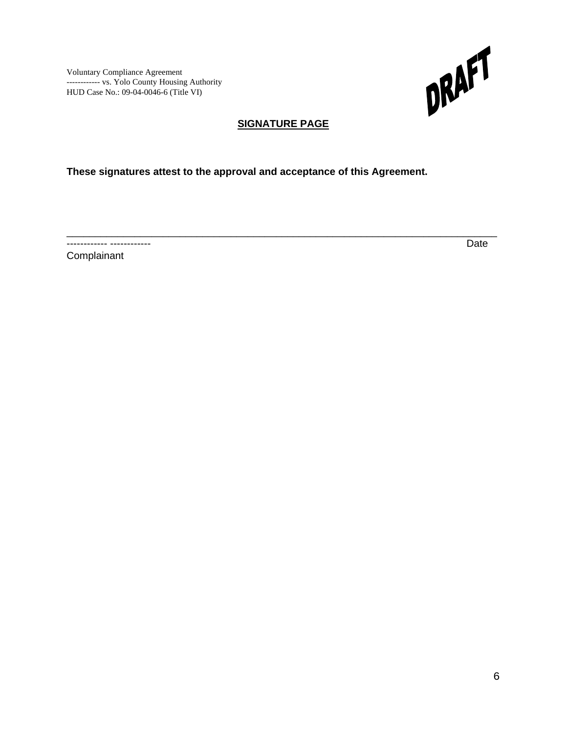

# **SIGNATURE PAGE**

\_\_\_\_\_\_\_\_\_\_\_\_\_\_\_\_\_\_\_\_\_\_\_\_\_\_\_\_\_\_\_\_\_\_\_\_\_\_\_\_\_\_\_\_\_\_\_\_\_\_\_\_\_\_\_\_\_\_\_\_\_\_\_\_\_\_\_\_\_\_\_\_\_\_\_\_

**These signatures attest to the approval and acceptance of this Agreement.** 

------------ ------------ Date

**Complainant**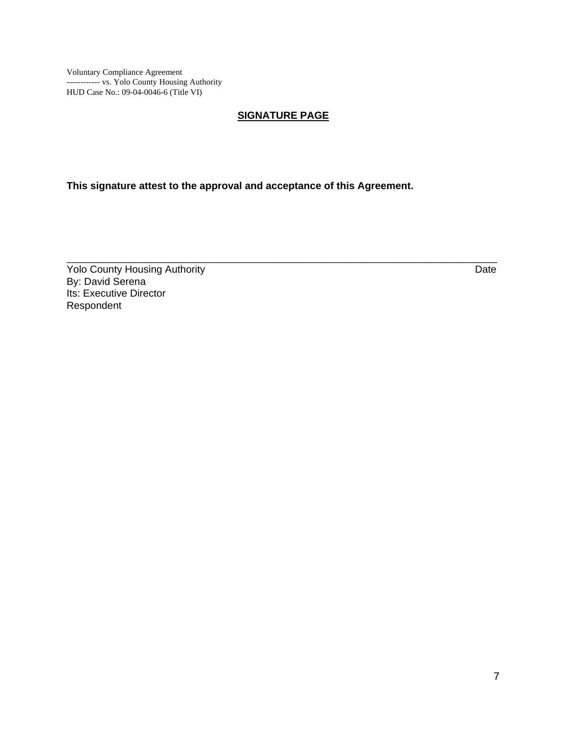#### **SIGNATURE PAGE**

\_\_\_\_\_\_\_\_\_\_\_\_\_\_\_\_\_\_\_\_\_\_\_\_\_\_\_\_\_\_\_\_\_\_\_\_\_\_\_\_\_\_\_\_\_\_\_\_\_\_\_\_\_\_\_\_\_\_\_\_\_\_\_\_\_\_\_\_\_\_\_\_\_\_\_\_

**This signature attest to the approval and acceptance of this Agreement.** 

**The County Housing Authority** Date Date By: David Serena Its: Executive Director Respondent